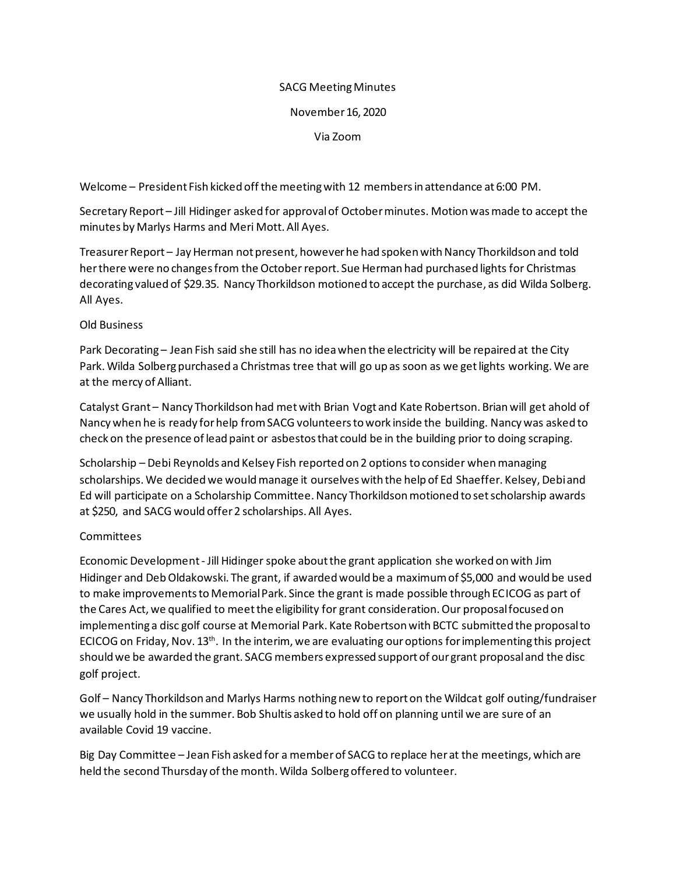# SACG Meeting Minutes

# November 16, 2020

#### Via Zoom

Welcome – President Fish kicked off the meeting with 12 members in attendance at 6:00 PM.

Secretary Report – Jill Hidinger asked for approval of October minutes. Motion was made to accept the minutes by Marlys Harms and Meri Mott. All Ayes.

Treasurer Report – Jay Herman not present, however he had spoken with Nancy Thorkildson and told her there were no changes from the October report. Sue Herman had purchased lights for Christmas decorating valued of \$29.35. Nancy Thorkildson motioned to accept the purchase, as did Wilda Solberg. All Ayes.

### Old Business

Park Decorating – Jean Fish said she still has no idea when the electricity will be repaired at the City Park. Wilda Solberg purchased a Christmas tree that will go up as soon as we get lights working. We are at the mercy of Alliant.

Catalyst Grant – Nancy Thorkildson had met with Brian Vogt and Kate Robertson. Brian will get ahold of Nancy when he is ready for help from SACG volunteers to work inside the building. Nancy was asked to check on the presence of lead paint or asbestos that could be in the building prior to doing scraping.

Scholarship – Debi Reynolds and Kelsey Fish reported on 2 options to consider when managing scholarships. We decided we would manage it ourselves with the help of Ed Shaeffer. Kelsey, Debi and Ed will participate on a Scholarship Committee. Nancy Thorkildson motioned to set scholarship awards at \$250, and SACG would offer 2 scholarships. All Ayes.

## **Committees**

Economic Development - Jill Hidinger spoke about the grant application she worked on with Jim Hidinger and Deb Oldakowski. The grant, if awarded would be a maximum of \$5,000 and would be used to make improvements to Memorial Park. Since the grant is made possible through ECICOG as part of the Cares Act, we qualified to meet the eligibility for grant consideration. Our proposal focused on implementing a disc golf course at Memorial Park. Kate Robertson with BCTC submitted the proposal to ECICOG on Friday, Nov.  $13<sup>th</sup>$ . In the interim, we are evaluating our options for implementing this project should we be awarded the grant. SACG members expressed support of our grant proposal and the disc golf project.

Golf – Nancy Thorkildson and Marlys Harms nothing new to report on the Wildcat golf outing/fundraiser we usually hold in the summer. Bob Shultis asked to hold off on planning until we are sure of an available Covid 19 vaccine.

Big Day Committee – Jean Fish asked for a member of SACG to replace her at the meetings, which are held the second Thursday of the month. Wilda Solberg offered to volunteer.